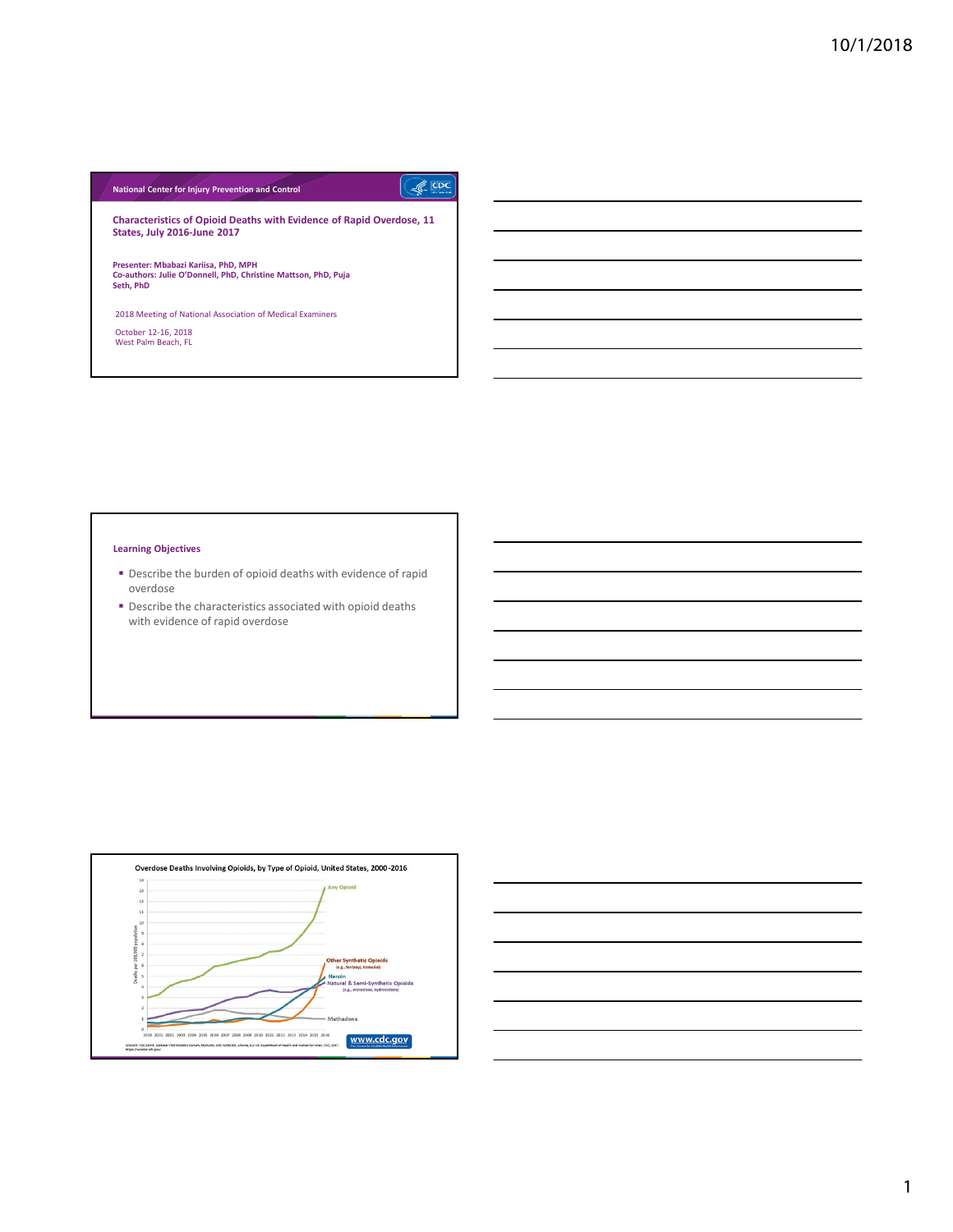# **National Center for Injury Prevention and Control**

 $\sqrt{\frac{1}{2}}$ 

**Characteristics of Opioid Deaths with Evidence of Rapid Overdose, 11 States, July 2016-June 2017**

**Presenter: Mbabazi Kariisa, PhD, MPH Co-authors: Julie O'Donnell, PhD, Christine Mattson, PhD, Puja Seth, PhD**

2018 Meeting of National Association of Medical Examiners October 12-16, 2018 West Palm Beach, FL

## **Learning Objectives**

- Describe the burden of opioid deaths with evidence of rapid overdose
- **P** Describe the characteristics associated with opioid deaths with evidence of rapid overdose



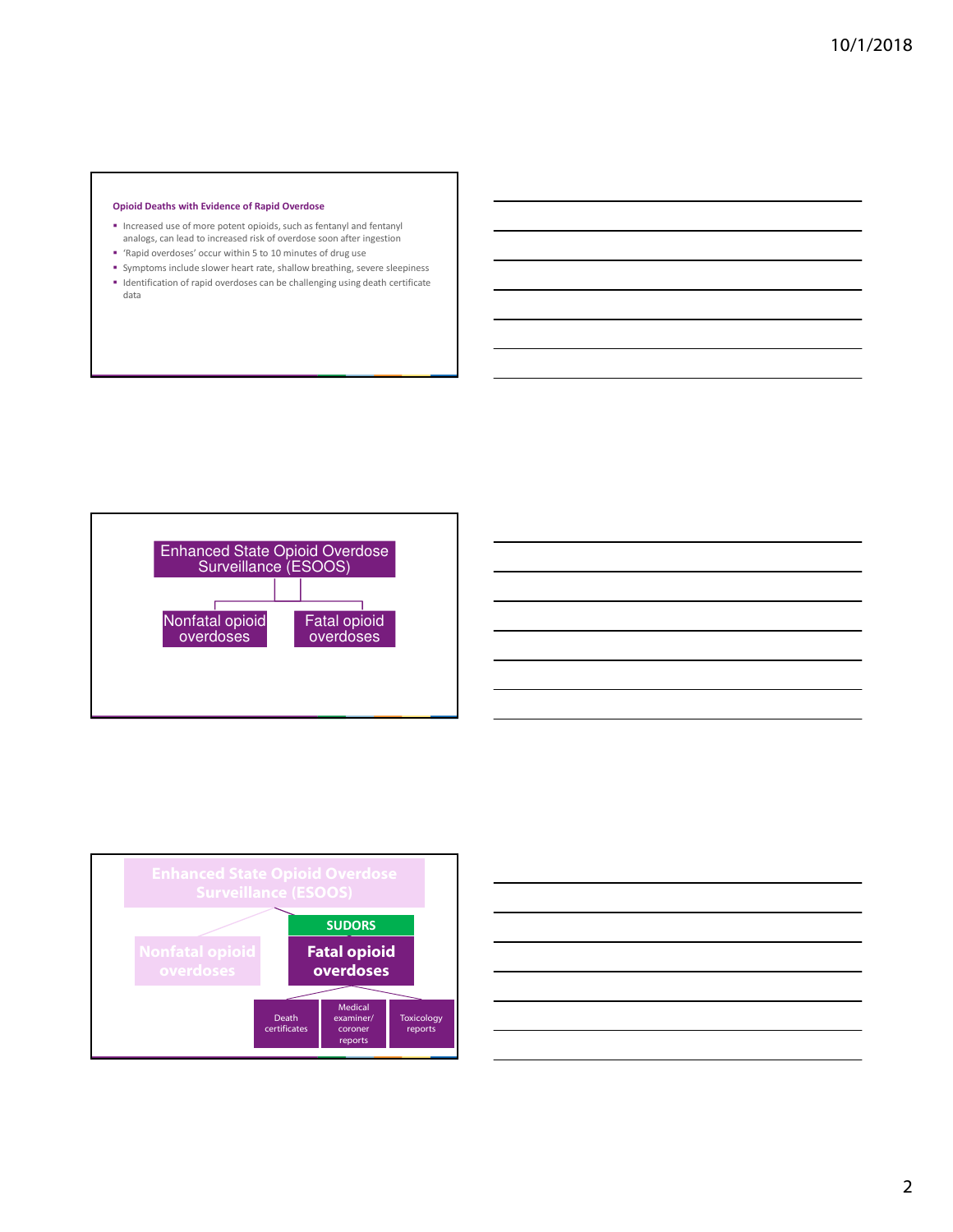### **Opioid Deaths with Evidence of Rapid Overdose**

- Increased use of more potent opioids, such as fentanyl and fentanyl analogs, can lead to increased risk of overdose soon after ingestion
- 'Rapid overdoses' occur within 5 to 10 minutes of drug use
- Symptoms include slower heart rate, shallow breathing, severe sleepiness Identification of rapid overdoses can be challenging using death certificate data





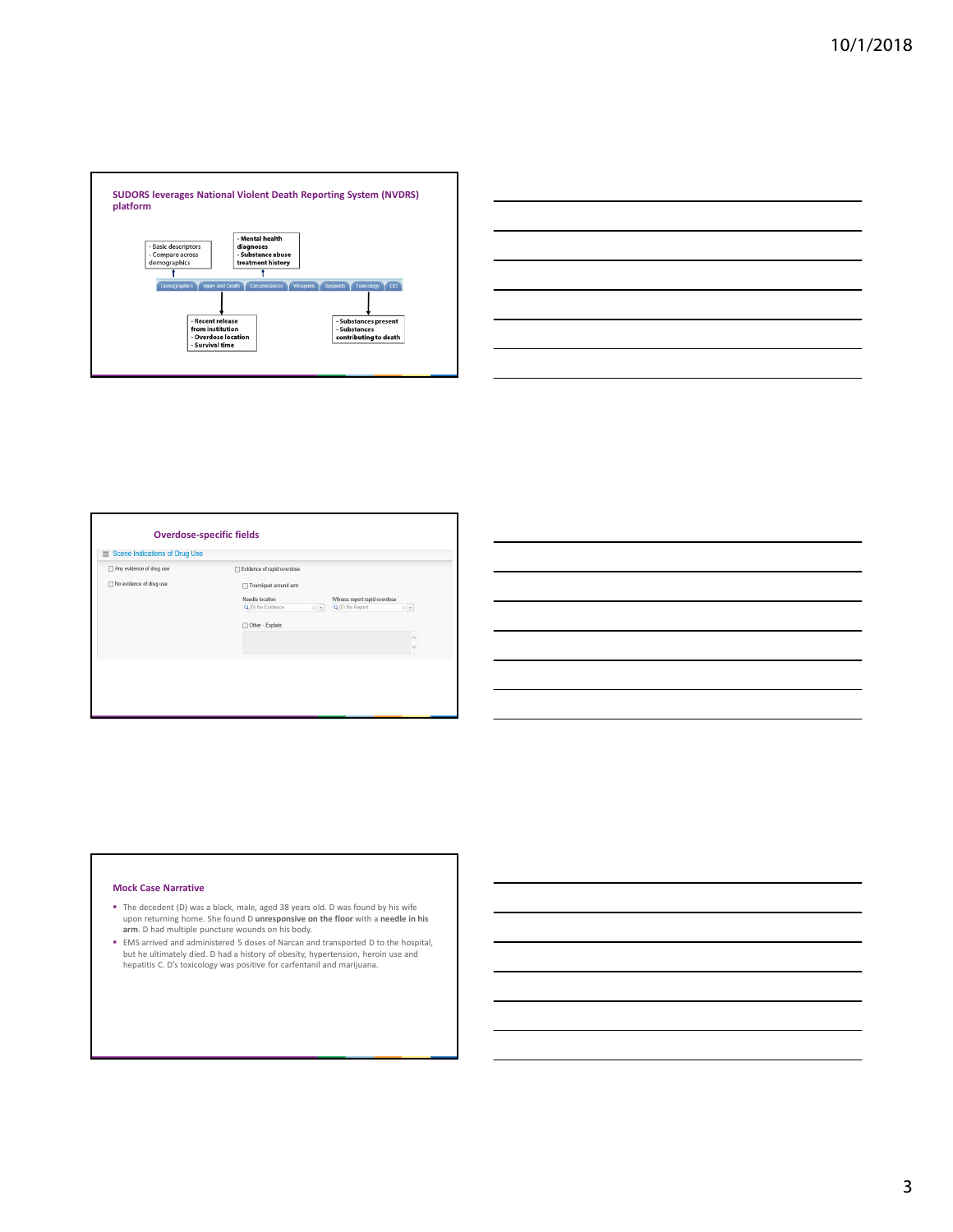

| <u> 1989 - Johann Stoff, deutscher Stoff, der Stoff, der Stoff, der Stoff, der Stoff, der Stoff, der Stoff, der S</u>                                                                                                         |  |  |
|-------------------------------------------------------------------------------------------------------------------------------------------------------------------------------------------------------------------------------|--|--|
|                                                                                                                                                                                                                               |  |  |
| <u> 1989 - Johann Stoff, amerikansk politiker (d. 1989)</u>                                                                                                                                                                   |  |  |
| <u> 1989 - Johann Stoff, deutscher Stoffen und der Stoffen und der Stoffen und der Stoffen und der Stoffen und de</u>                                                                                                         |  |  |
| ,我们也不会有一个人的事情。""我们的人们,我们也不会有一个人的人,我们也不会有一个人的人,我们也不会有一个人的人,我们也不会有一个人的人,我们也不会有一个人的<br>第一百一章 一个人的人,我们的人们,我们的人们,我们的人们,我们的人们,我们的人们,我们的人们,我们的人们,我们的人们,我们的人们,我们的人们,我们的人们,我们                                                          |  |  |
| the control of the control of the control of the control of the control of the control of the control of the control of the control of the control of the control of the control of the control of the control of the control |  |  |

| Any evidence of drug use | Evidence of rapid overdose                                                               |
|--------------------------|------------------------------------------------------------------------------------------|
| No evidence of drug use  | Tourniquet around arm                                                                    |
|                          | Needle location<br>Witness report rapid overdose<br>Q (0) No Report<br>Q (0) No Evidence |
|                          | $\odot$ $\,$ $\,$ $\,$<br>$0 - r$                                                        |
|                          | Other - Explain:<br>п                                                                    |
|                          |                                                                                          |
|                          |                                                                                          |

# **Mock Case Narrative**

- The decedent (D) was a black, male, aged 38 years old. D was found by his wife upon returning home. She found D **unresponsive on the floor** with a **needle in his arm**. D had multiple puncture wounds on his body.
- EMS arrived and administered 5 doses of Narcan and transported D to the hospital, but he ultimately died. D had a history of obesity, hypertension, heroin use and hepatitis C. D's toxicology was positive for carfentanil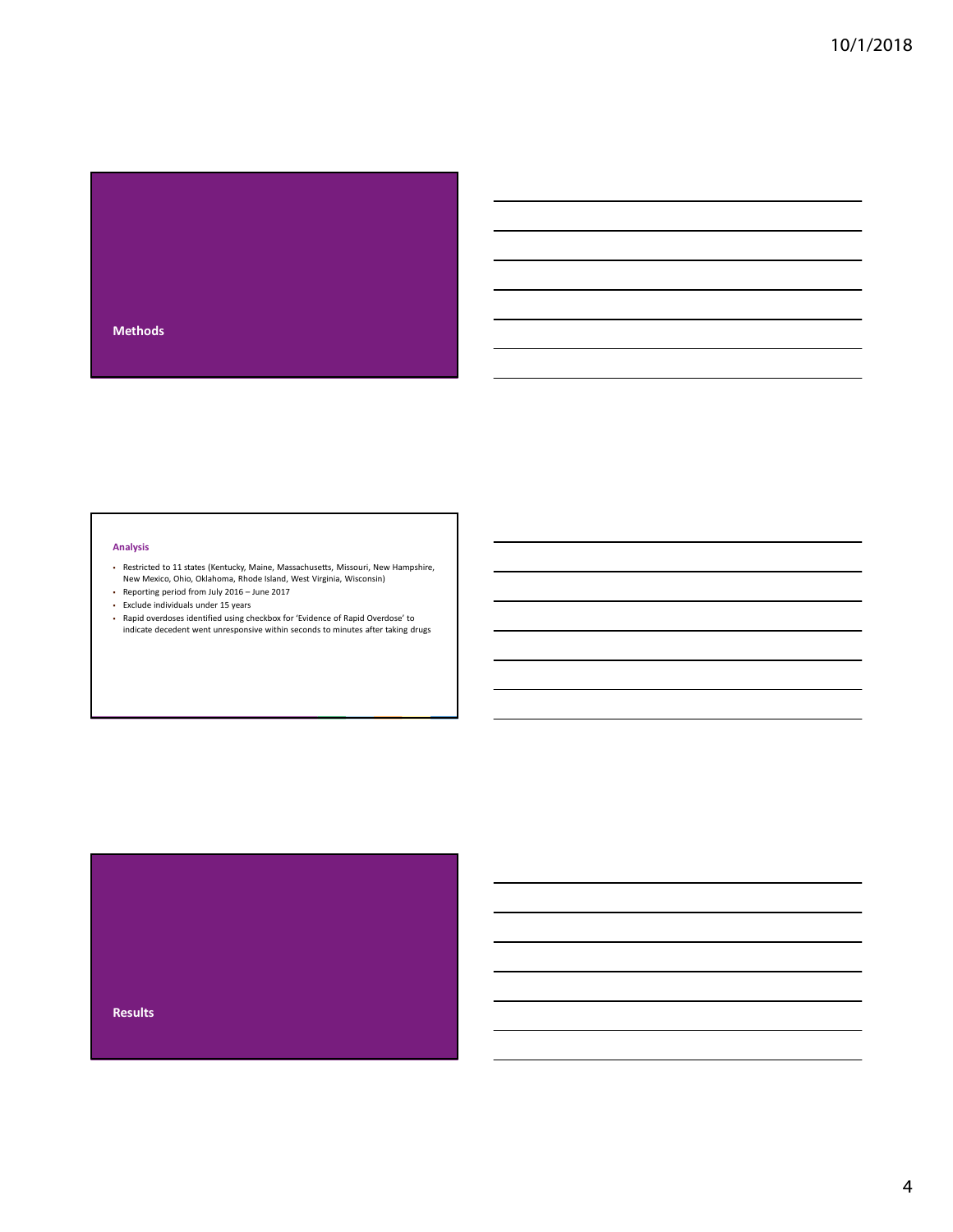

# **Analysis**

- Restricted to 11 states (Kentucky, Maine, Massachusetts, Missouri, New Hampshire, New Mexico, Ohio, Oklahoma, Rhode Island, West Virginia, Wisconsin)
- Reporting period from July 2016 June 2017
- Exclude individuals under 15 years
- Rapid overdoses identified using checkbox for 'Evidence of Rapid Overdose' to indicate decedent went unresponsive within seconds to minutes after taking drugs

# **Results**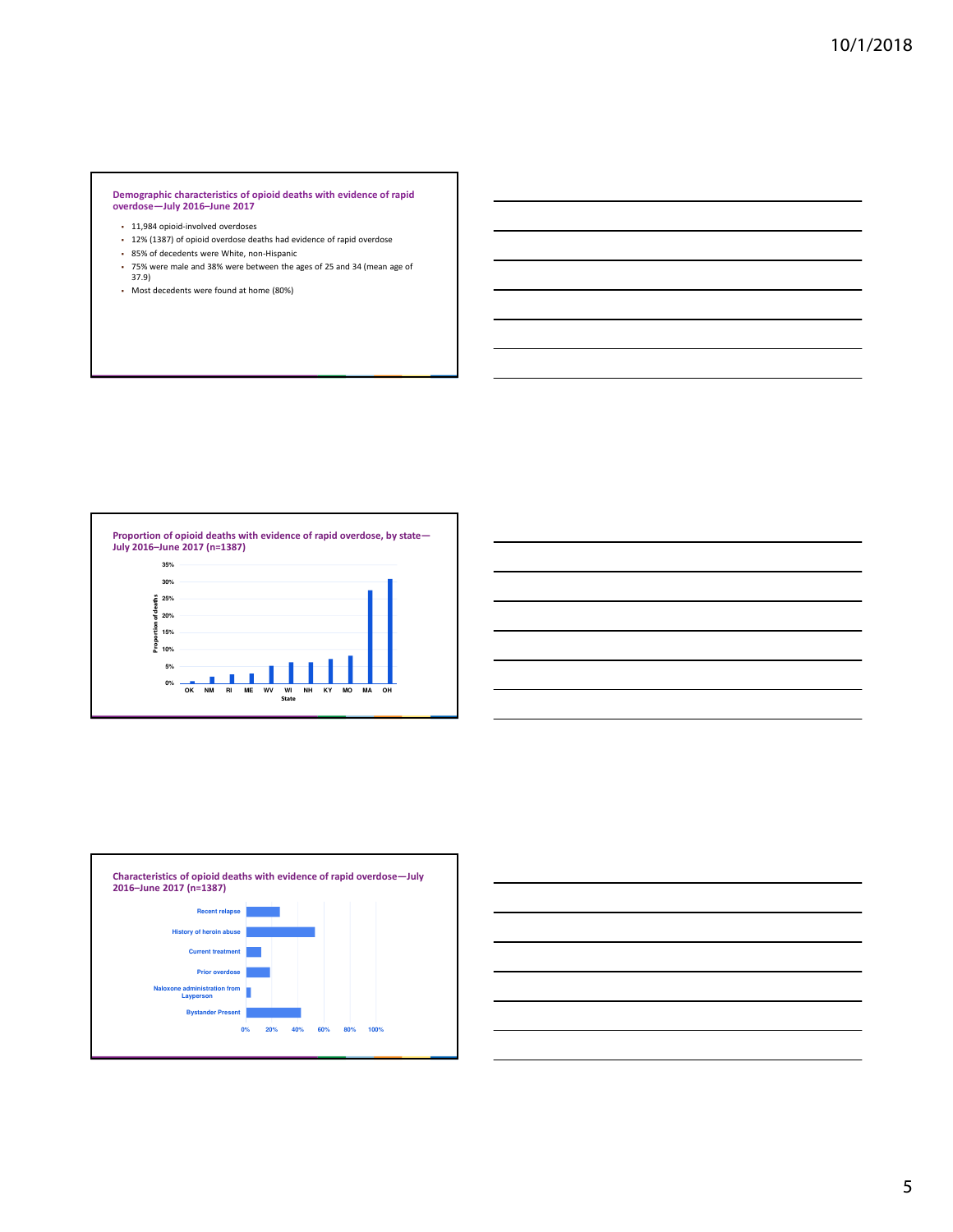# **Demographic characteristics of opioid deaths with evidence of rapid overdose—July 2016–June 2017**

- 11,984 opioid-involved overdoses
- 12% (1387) of opioid overdose deaths had evidence of rapid overdose
- 85% of decedents were White, non-Hispanic
- 75% were male and 38% were between the ages of 25 and 34 (mean age of 37.9)









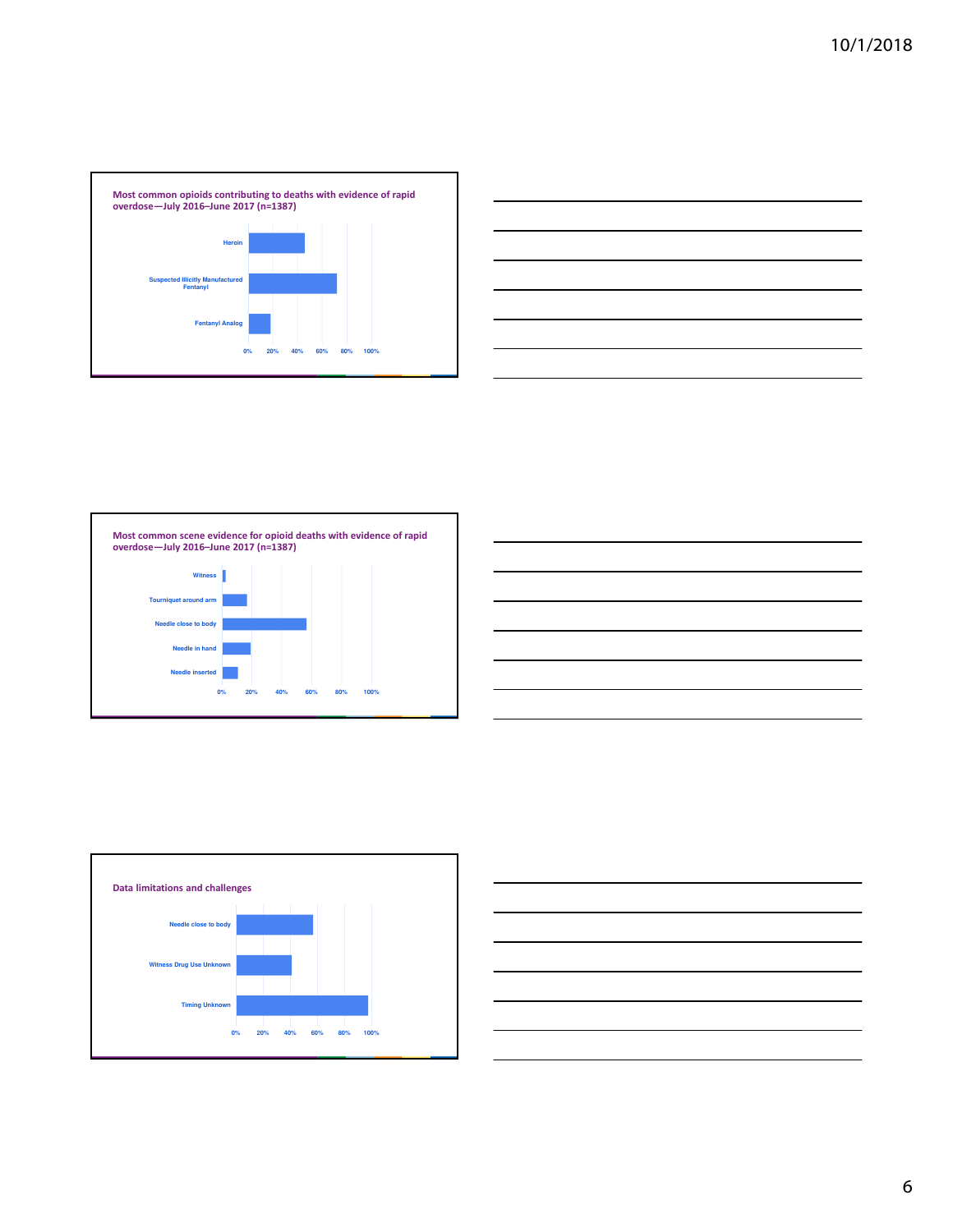









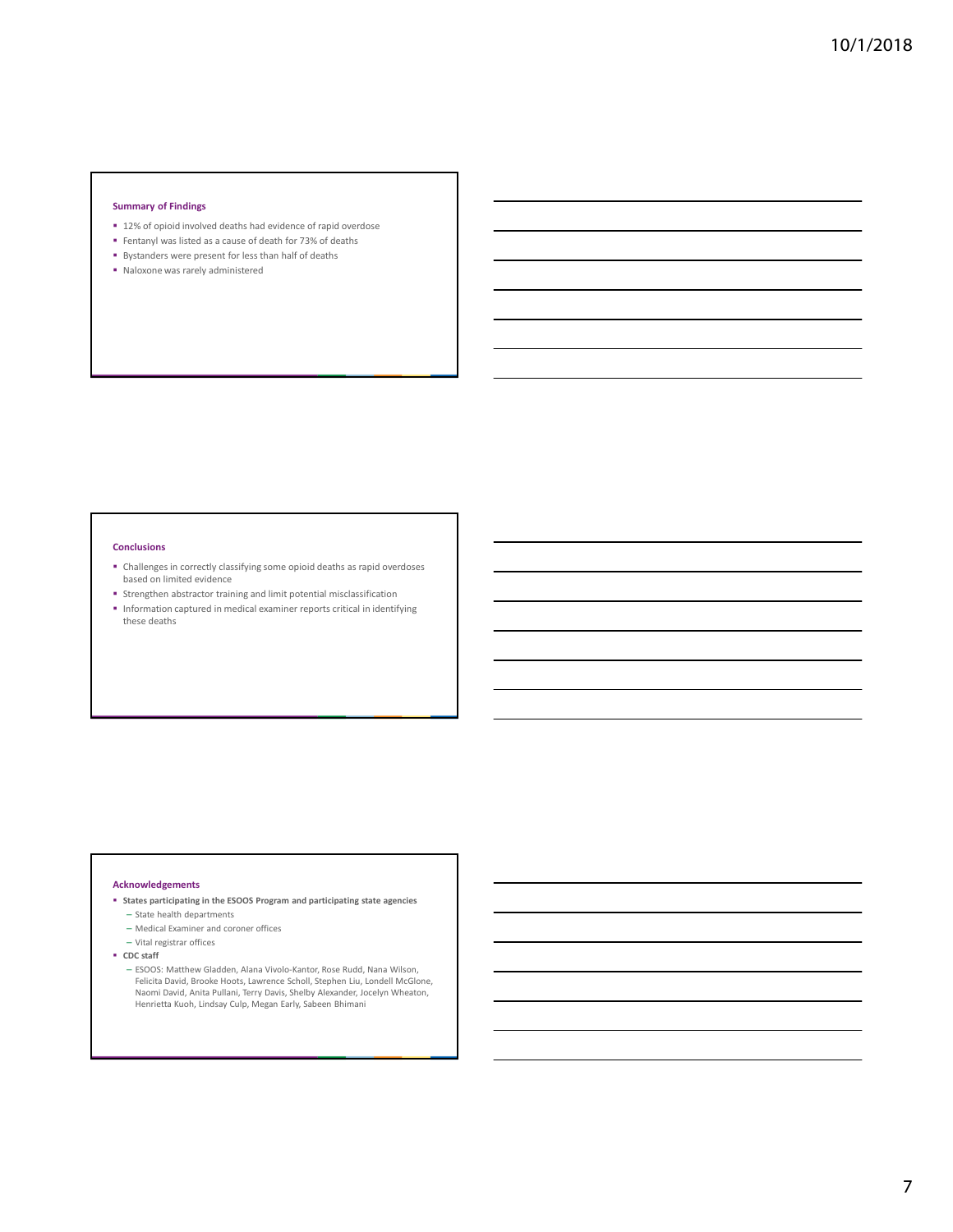#### **Summary of Findings**

- 12% of opioid involved deaths had evidence of rapid overdose
- Fentanyl was listed as a cause of death for 73% of deaths
- Bystanders were present for less than half of deaths
- Naloxone was rarely administered

#### **Conclusions**

- Challenges in correctly classifying some opioid deaths as rapid overdoses based on limited evidence
- **Strengthen abstractor training and limit potential misclassification**
- $\blacksquare$  Information captured in medical examiner reports critical in identifying these deaths

#### **Acknowledgements**

- **States participating in the ESOOS Program and participating state agencies** – State health departments
	- Medical Examiner and coroner offices
	- Vital registrar offices
- **CDC staff** 
	- ESOOS: Matthew Gladden, Alana Vivolo-Kantor, Rose Rudd, Nana Wilson, Felicita David, Brooke Hoots, Lawrence Scholl, Stephen Liu, Londell McGlone, Naomi David, Anita Pullani, Terry Davis, Shelby Alexander, Jocelyn Wheaton, Henrietta Kuoh, Lindsay Culp, Megan Early, Sabeen Bhimani